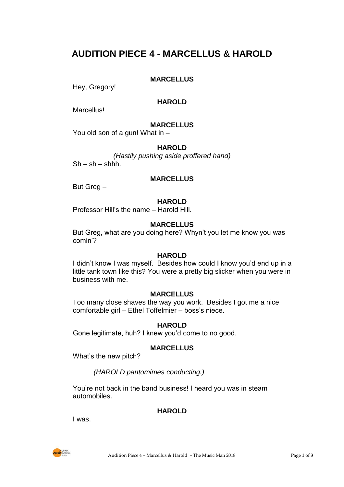# **AUDITION PIECE 4 - MARCELLUS & HAROLD**

# **MARCELLUS**

Hey, Gregory!

# **HAROLD**

**Marcellus!** 

# **MARCELLUS**

You old son of a gun! What in –

# **HAROLD**

*(Hastily pushing aside proffered hand)*  $Sh - sh - shhh$ .

## **MARCELLUS**

But Greg –

## **HAROLD**

Professor Hill's the name – Harold Hill.

# **MARCELLUS**

But Greg, what are you doing here? Whyn't you let me know you was comin'?

#### **HAROLD**

I didn't know I was myself. Besides how could I know you'd end up in a little tank town like this? You were a pretty big slicker when you were in business with me.

# **MARCELLUS**

Too many close shaves the way you work. Besides I got me a nice comfortable girl – Ethel Toffelmier – boss's niece.

# **HAROLD**

Gone legitimate, huh? I knew you'd come to no good.

# **MARCELLUS**

What's the new pitch?

# *(HAROLD pantomimes conducting.)*

You're not back in the band business! I heard you was in steam automobiles.

# **HAROLD**

I was.

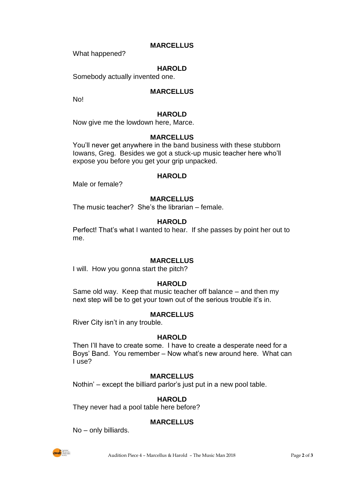## **MARCELLUS**

What happened?

# **HAROLD**

Somebody actually invented one.

## **MARCELLUS**

No!

#### **HAROLD**

Now give me the lowdown here, Marce.

#### **MARCELLUS**

You'll never get anywhere in the band business with these stubborn Iowans, Greg. Besides we got a stuck-up music teacher here who'll expose you before you get your grip unpacked.

#### **HAROLD**

Male or female?

#### **MARCELLUS**

The music teacher? She's the librarian – female.

#### **HAROLD**

Perfect! That's what I wanted to hear. If she passes by point her out to me.

#### **MARCELLUS**

I will. How you gonna start the pitch?

#### **HAROLD**

Same old way. Keep that music teacher off balance – and then my next step will be to get your town out of the serious trouble it's in.

## **MARCELLUS**

River City isn't in any trouble.

#### **HAROLD**

Then I'll have to create some. I have to create a desperate need for a Boys' Band. You remember – Now what's new around here. What can I use?

#### **MARCELLUS**

Nothin' – except the billiard parlor's just put in a new pool table.

#### **HAROLD**

They never had a pool table here before?

#### **MARCELLUS**

No – only billiards.